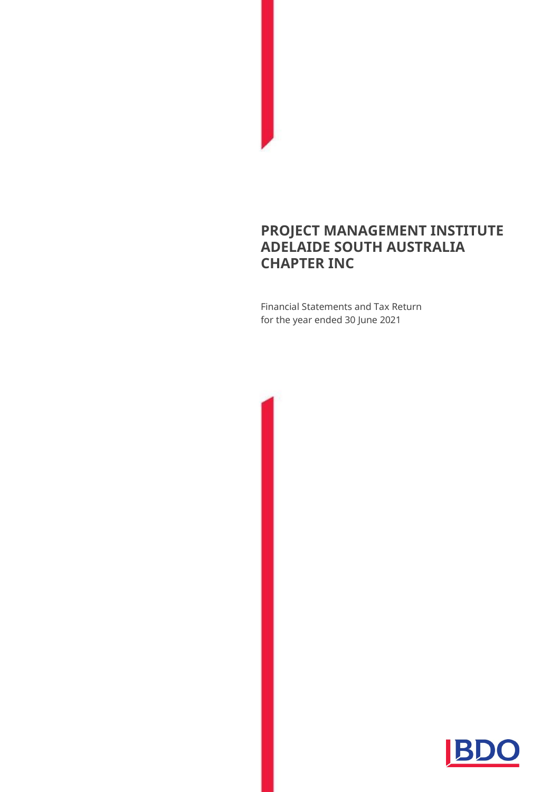## **PROJECT MANAGEMENT INSTITUTE ADELAIDE SOUTH AUSTRALIA CHAPTER INC**

Financial Statements and Tax Return for the year ended 30 June 2021

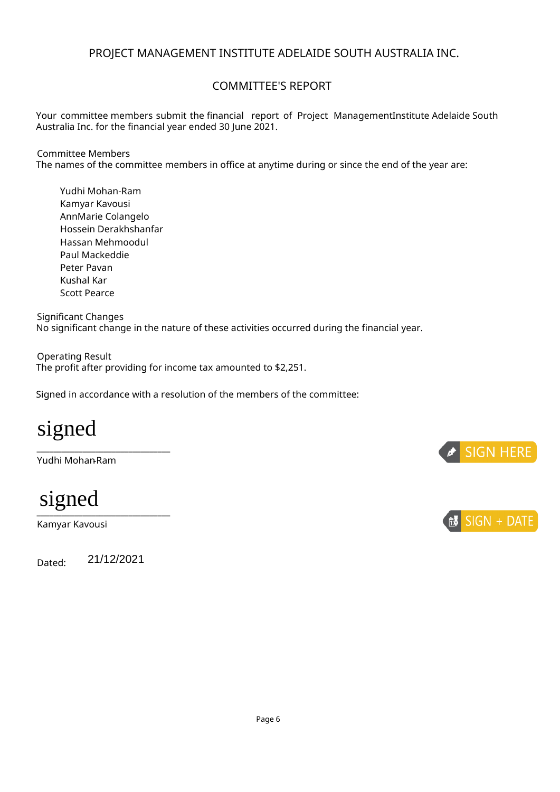## PROJECT MANAGEMENT INSTITUTE ADELAIDE SOUTH AUSTRALIA INC.

## COMMITTEE'S REPORT

Your committee members submit the financial report of Project ManagementInstitute Adelaide South Australia Inc. for the financial year ended 30 June 2021.

#### Committee Members

The names of the committee members in office at anytime during or since the end of the year are:

Yudhi Mohan-Ram Kamyar Kavousi AnnMarie Colangelo Hossein Derakhshanfar Hassan Mehmoodul Paul Mackeddie Peter Pavan Kushal Kar Scott Pearce

Significant Changes No significant change in the nature of these activities occurred during the financial year.

Operating Result The profit after providing for income tax amounted to \$2,251.

Signed in accordance with a resolution of the members of the committee:

# signed

Yudhi Mohan**-**Ram

\_\_\_\_\_\_\_\_\_\_\_\_\_\_\_\_\_\_\_\_\_\_\_\_\_\_\_\_\_\_\_\_

signed

Kamyar Kavousi

Dated: j 21/12/2021